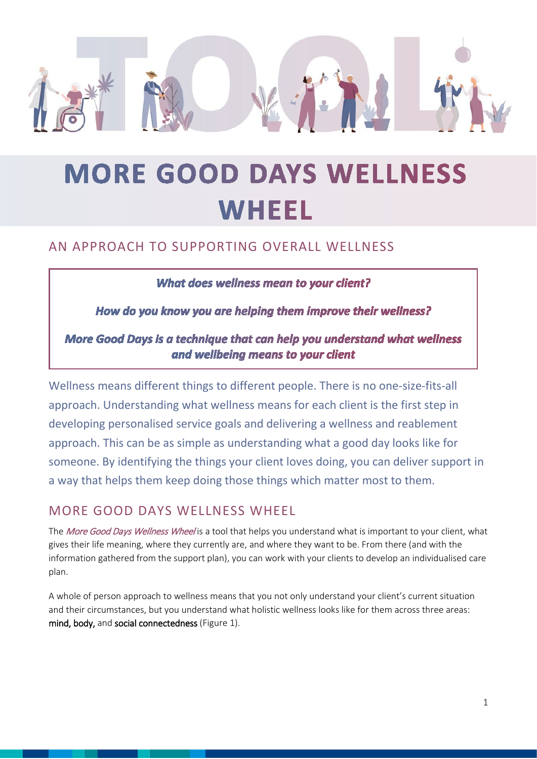

# **MORE GOOD DAYS WELLNESS** WHEEL

# AN APPROACH TO SUPPORTING OVERALL WELLNESS

What does wellness mean to your client?

How do you know you are helping them improve their wellness?

More Good Days is a technique that can help you understand what wellness and wellbeing means to your client

Wellness means different things to different people. There is no one-size-fits-all approach. Understanding what wellness means for each client is the first step in developing personalised service goals and delivering a wellness and reablement approach. This can be as simple as understanding what a good day looks like for someone. By identifying the things your client loves doing, you can deliver support in a way that helps them keep doing those things which matter most to them.

# MORE GOOD DAYS WELLNESS WHEEL

The More Good Days Wellness Wheel is a tool that helps you understand what is important to your client, what gives their life meaning, where they currently are, and where they want to be. From there (and with the information gathered from the support plan), you can work with your clients to develop an individualised care plan.

A whole of person approach to wellness means that you not only understand your client's current situation and their circumstances, but you understand what holistic wellness looks like for them across three areas: mind, body, and social connectedness (Figure 1).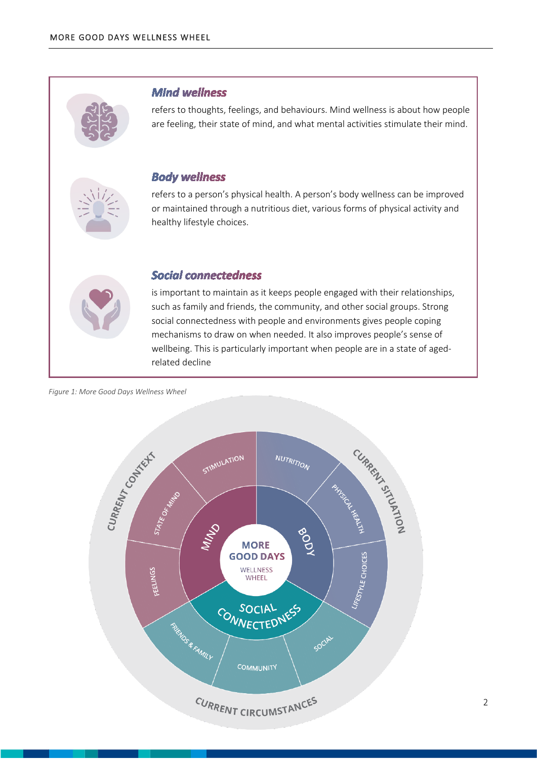

#### **Mind wellness**

refers to thoughts, feelings, and behaviours. Mind wellness is about how people are feeling, their state of mind, and what mental activities stimulate their mind.

### **Body wellness**

refers to a person's physical health. A person's body wellness can be improved or maintained through a nutritious diet, various forms of physical activity and healthy lifestyle choices.

## **Social connectedness**

is important to maintain as it keeps people engaged with their relationships, such as family and friends, the community, and other social groups. Strong social connectedness with people and environments gives people coping mechanisms to draw on when needed. It also improves people's sense of wellbeing. This is particularly important when people are in a state of agedrelated decline

*Figure 1: More Good Days Wellness Wheel*

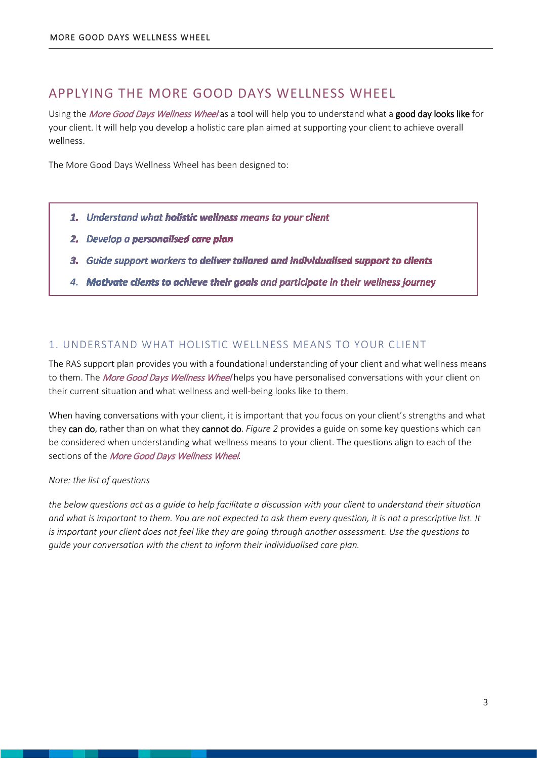## APPLYING THE MORE GOOD DAYS WELLNESS WHEEL

Using the More Good Days Wellness Wheel as a tool will help you to understand what a good day looks like for your client. It will help you develop a holistic care plan aimed at supporting your client to achieve overall wellness.

The More Good Days Wellness Wheel has been designed to:

- 1. Understand what holistic wellness means to your client
- 2. Develop a personalised care plan
- 3. Guide support workers to deliver tailored and individualised support to clients
- 4. Motivate clients to achieve their goals and participate in their wellness journey

#### 1. UNDERSTAND WHAT HOLISTIC WELLNESS MEANS TO YOUR CLIENT

The RAS support plan provides you with a foundational understanding of your client and what wellness means to them. The More Good Days Wellness Wheel helps you have personalised conversations with your client on their current situation and what wellness and well-being looks like to them.

When having conversations with your client, it is important that you focus on your client's strengths and what they can do, rather than on what they cannot do. *Figure 2* provides a guide on some key questions which can be considered when understanding what wellness means to your client. The questions align to each of the sections of the More Good Days Wellness Wheel.

#### *Note: the list of questions*

*the below questions act as a guide to help facilitate a discussion with your client to understand their situation and what is important to them. You are not expected to ask them every question, it is not a prescriptive list. It is important your client does not feel like they are going through another assessment. Use the questions to guide your conversation with the client to inform their individualised care plan.*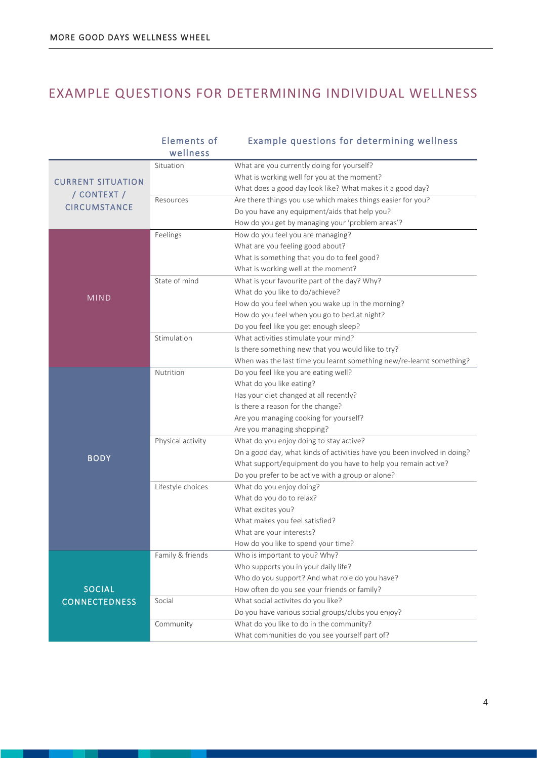# EXAMPLE QUESTIONS FOR DETERMINING INDIVIDUAL WELLNESS

|                          | <b>Elements of</b><br>wellness | Example questions for determining wellness                               |
|--------------------------|--------------------------------|--------------------------------------------------------------------------|
|                          | Situation                      | What are you currently doing for yourself?                               |
| <b>CURRENT SITUATION</b> |                                | What is working well for you at the moment?                              |
|                          |                                | What does a good day look like? What makes it a good day?                |
| / CONTEXT /              | Resources                      | Are there things you use which makes things easier for you?              |
| <b>CIRCUMSTANCE</b>      |                                | Do you have any equipment/aids that help you?                            |
|                          |                                | How do you get by managing your 'problem areas'?                         |
| <b>MIND</b>              | Feelings                       | How do you feel you are managing?                                        |
|                          |                                | What are you feeling good about?                                         |
|                          |                                | What is something that you do to feel good?                              |
|                          |                                | What is working well at the moment?                                      |
|                          | State of mind                  | What is your favourite part of the day? Why?                             |
|                          |                                | What do you like to do/achieve?                                          |
|                          |                                | How do you feel when you wake up in the morning?                         |
|                          |                                | How do you feel when you go to bed at night?                             |
|                          |                                | Do you feel like you get enough sleep?                                   |
|                          | Stimulation                    | What activities stimulate your mind?                                     |
|                          |                                | Is there something new that you would like to try?                       |
|                          |                                | When was the last time you learnt something new/re-learnt something?     |
|                          | Nutrition                      | Do you feel like you are eating well?                                    |
|                          |                                | What do you like eating?                                                 |
|                          |                                | Has your diet changed at all recently?                                   |
|                          |                                | Is there a reason for the change?                                        |
|                          |                                | Are you managing cooking for yourself?                                   |
|                          |                                | Are you managing shopping?                                               |
|                          | Physical activity              | What do you enjoy doing to stay active?                                  |
| <b>BODY</b>              |                                | On a good day, what kinds of activities have you been involved in doing? |
|                          |                                | What support/equipment do you have to help you remain active?            |
|                          |                                | Do you prefer to be active with a group or alone?                        |
|                          | Lifestyle choices              | What do you enjoy doing?                                                 |
|                          |                                | What do you do to relax?                                                 |
|                          |                                | What excites you?                                                        |
|                          |                                | What makes you feel satisfied?                                           |
|                          |                                | What are your interests?                                                 |
|                          |                                | How do you like to spend your time?                                      |
|                          | Family & friends               | Who is important to you? Why?                                            |
|                          |                                | Who supports you in your daily life?                                     |
|                          |                                | Who do you support? And what role do you have?                           |
| <b>SOCIAL</b>            |                                | How often do you see your friends or family?                             |
| <b>CONNECTEDNESS</b>     | Social                         | What social activites do you like?                                       |
|                          |                                | Do you have various social groups/clubs you enjoy?                       |
|                          | Community                      | What do you like to do in the community?                                 |
|                          |                                | What communities do you see yourself part of?                            |